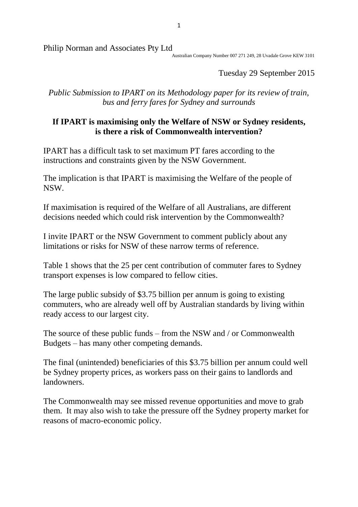1

Philip Norman and Associates Pty Ltd

Australian Company Number 007 271 249, 28 Uvadale Grove KEW 3101

Tuesday 29 September 2015

*Public Submission to IPART on its Methodology paper for its review of train, bus and ferry fares for Sydney and surrounds*

## **If IPART is maximising only the Welfare of NSW or Sydney residents, is there a risk of Commonwealth intervention?**

IPART has a difficult task to set maximum PT fares according to the instructions and constraints given by the NSW Government.

The implication is that IPART is maximising the Welfare of the people of NSW.

If maximisation is required of the Welfare of all Australians, are different decisions needed which could risk intervention by the Commonwealth?

I invite IPART or the NSW Government to comment publicly about any limitations or risks for NSW of these narrow terms of reference.

Table 1 shows that the 25 per cent contribution of commuter fares to Sydney transport expenses is low compared to fellow cities.

The large public subsidy of \$3.75 billion per annum is going to existing commuters, who are already well off by Australian standards by living within ready access to our largest city.

The source of these public funds – from the NSW and / or Commonwealth Budgets – has many other competing demands.

The final (unintended) beneficiaries of this \$3.75 billion per annum could well be Sydney property prices, as workers pass on their gains to landlords and landowners.

The Commonwealth may see missed revenue opportunities and move to grab them. It may also wish to take the pressure off the Sydney property market for reasons of macro-economic policy.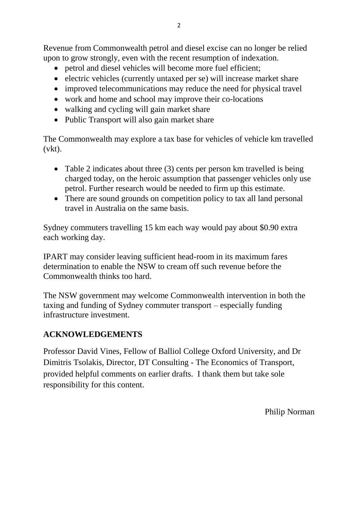Revenue from Commonwealth petrol and diesel excise can no longer be relied upon to grow strongly, even with the recent resumption of indexation.

- petrol and diesel vehicles will become more fuel efficient;
- electric vehicles (currently untaxed per se) will increase market share
- improved telecommunications may reduce the need for physical travel
- work and home and school may improve their co-locations
- walking and cycling will gain market share
- Public Transport will also gain market share

The Commonwealth may explore a tax base for vehicles of vehicle km travelled (vkt).

- Table 2 indicates about three (3) cents per person km travelled is being charged today, on the heroic assumption that passenger vehicles only use petrol. Further research would be needed to firm up this estimate.
- There are sound grounds on competition policy to tax all land personal travel in Australia on the same basis.

Sydney commuters travelling 15 km each way would pay about \$0.90 extra each working day.

IPART may consider leaving sufficient head-room in its maximum fares determination to enable the NSW to cream off such revenue before the Commonwealth thinks too hard.

The NSW government may welcome Commonwealth intervention in both the taxing and funding of Sydney commuter transport – especially funding infrastructure investment.

## **ACKNOWLEDGEMENTS**

Professor David Vines, Fellow of Balliol College Oxford University, and Dr Dimitris Tsolakis, Director, DT Consulting - The Economics of Transport, provided helpful comments on earlier drafts. I thank them but take sole responsibility for this content.

Philip Norman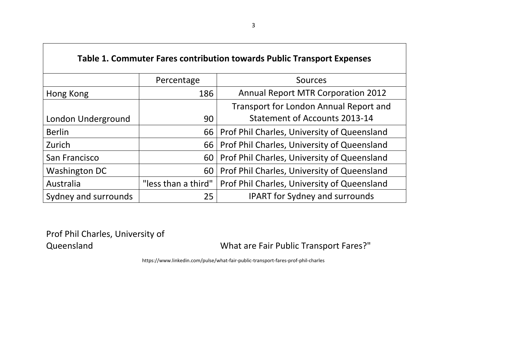| Table 1. Commuter Fares contribution towards Public Transport Expenses |                                                   |                                             |  |  |  |
|------------------------------------------------------------------------|---------------------------------------------------|---------------------------------------------|--|--|--|
|                                                                        | Percentage                                        | Sources                                     |  |  |  |
| Hong Kong                                                              | 186                                               | <b>Annual Report MTR Corporation 2012</b>   |  |  |  |
|                                                                        |                                                   | Transport for London Annual Report and      |  |  |  |
| London Underground                                                     | 90                                                | Statement of Accounts 2013-14               |  |  |  |
| <b>Berlin</b>                                                          | Prof Phil Charles, University of Queensland<br>66 |                                             |  |  |  |
| Zurich                                                                 | Prof Phil Charles, University of Queensland<br>66 |                                             |  |  |  |
| San Francisco                                                          | 60                                                | Prof Phil Charles, University of Queensland |  |  |  |
| <b>Washington DC</b>                                                   | 60                                                | Prof Phil Charles, University of Queensland |  |  |  |
| Australia                                                              | "less than a third"                               | Prof Phil Charles, University of Queensland |  |  |  |
| Sydney and surrounds                                                   | 25                                                | <b>IPART for Sydney and surrounds</b>       |  |  |  |

Prof Phil Charles, University of<br>Queensland

 $\mathsf{L}$ 

What are Fair Public Transport Fares?"

https://www.linkedin.com/pulse/what-fair-public-transport-fares-prof-phil-charles